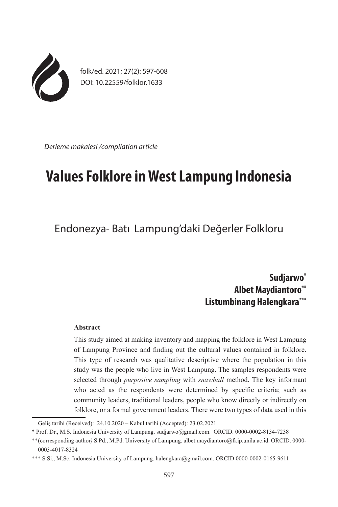

folk/ed. 2021; 27(2): 597-608 DOI: 10.22559/folklor.1633

*Derleme makalesi /compilation article*

# **Values Folklore in West Lampung Indonesia**

Endonezya- Batı Lampung'daki Değerler Folkloru

**Sudjarwo\* Albet Maydiantoro\*\* Listumbinang Halengkara\*\*\***

## **Abstract**

This study aimed at making inventory and mapping the folklore in West Lampung of Lampung Province and finding out the cultural values contained in folklore. This type of research was qualitative descriptive where the population in this study was the people who live in West Lampung. The samples respondents were selected through *purposive sampling* with *snawball* method. The key informant who acted as the respondents were determined by specific criteria; such as community leaders, traditional leaders, people who know directly or indirectly on folklore, or a formal government leaders. There were two types of data used in this

Geliş tarihi (Received): 24.10.2020 – Kabul tarihi (Accepted): 23.02.2021

<sup>\*</sup> Prof. Dr., M.S. Indonesia University of Lampung. sudjarwo@gmail.com. ORCID. 0000-0002-8134-7238

<sup>\*\*</sup>(corresponding author*)* S.Pd., M.Pd. University of Lampung. albet.maydiantoro@fkip.unila.ac.id. ORCID. 0000- 0003-4017-8324

<sup>\*\*\*</sup> S.Si., M.Sc. Indonesia University of Lampung. halengkara@gmail.com. ORCID 0000-0002-0165-9611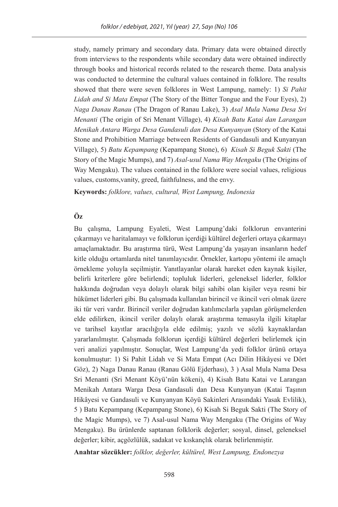study, namely primary and secondary data. Primary data were obtained directly from interviews to the respondents while secondary data were obtained indirectly through books and historical records related to the research theme. Data analysis was conducted to determine the cultural values contained in folklore. The results showed that there were seven folklores in West Lampung, namely: 1) *Si Pahit Lidah and Si Mata Empat* (The Story of the Bitter Tongue and the Four Eyes), 2) *Naga Danau Ranau* (The Dragon of Ranau Lake), 3) *Asal Mula Nama Desa Sri Menanti* (The origin of Sri Menant Village), 4) *Kisah Batu Katai dan Larangan Menikah Antara Warga Desa Gandasuli dan Desa Kunyanyan* (Story of the Katai Stone and Prohibition Marriage between Residents of Gandasuli and Kunyanyan Village), 5) *Batu Kepampang* (Kepampang Stone), 6) *Kisah Si Beguk Sakti* (The Story of the Magic Mumps), and 7) *Asal-usul Nama Way Mengaku* (The Origins of Way Mengaku). The values contained in the folklore were social values, religious values, customs,vanity, greed, faithfulness, and the envy.

**Keywords:** *folklore, values, cultural, West Lampung, Indonesia*

## **Öz**

Bu çalışma, Lampung Eyaleti, West Lampung'daki folklorun envanterini çıkarmayı ve haritalamayı ve folklorun içerdiği kültürel değerleri ortaya çıkarmayı amaçlamaktadır. Bu araştırma türü, West Lampung'da yaşayan insanların hedef kitle olduğu ortamlarda nitel tanımlayıcıdır. Örnekler, kartopu yöntemi ile amaçlı örnekleme yoluyla seçilmiştir. Yanıtlayanlar olarak hareket eden kaynak kişiler, belirli kriterlere göre belirlendi; topluluk liderleri, geleneksel liderler, folklor hakkında doğrudan veya dolaylı olarak bilgi sahibi olan kişiler veya resmi bir hükümet liderleri gibi. Bu çalışmada kullanılan birincil ve ikincil veri olmak üzere iki tür veri vardır. Birincil veriler doğrudan katılımcılarla yapılan görüşmelerden elde edilirken, ikincil veriler dolaylı olarak araştırma temasıyla ilgili kitaplar ve tarihsel kayıtlar aracılığıyla elde edilmiş; yazılı ve sözlü kaynaklardan yararlanılmıştır. Çalışmada folklorun içerdiği kültürel değerleri belirlemek için veri analizi yapılmıştır. Sonuçlar, West Lampung'da yedi folklor ürünü ortaya konulmuştur: 1) Si Pahit Lidah ve Si Mata Empat (Acı Dilin Hikâyesi ve Dört Göz), 2) Naga Danau Ranau (Ranau Gölü Ejderhası), 3 ) Asal Mula Nama Desa Sri Menanti (Sri Menant Köyü'nün kökeni), 4) Kisah Batu Katai ve Larangan Menikah Antara Warga Desa Gandasuli dan Desa Kunyanyan (Katai Taşının Hikâyesi ve Gandasuli ve Kunyanyan Köyü Sakinleri Arasındaki Yasak Evlilik), 5 ) Batu Kepampang (Kepampang Stone), 6) Kisah Si Beguk Sakti (The Story of the Magic Mumps), ve 7) Asal-usul Nama Way Mengaku (The Origins of Way Mengaku). Bu ürünlerde saptanan folklorik değerler; sosyal, dinsel, geleneksel değerler; kibir, açgözlülük, sadakat ve kıskançlık olarak belirlenmiştir.

**Anahtar sözcükler:** *folklor, değerler, kültürel, West Lampung, Endonezya*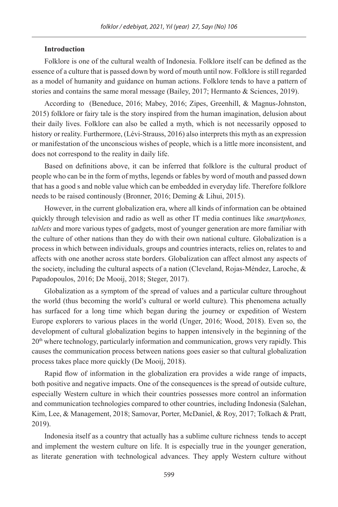## **Introduction**

Folklore is one of the cultural wealth of Indonesia. Folklore itself can be defined as the essence of a culture that is passed down by word of mouth until now. Folklore is still regarded as a model of humanity and guidance on human actions. Folklore tends to have a pattern of stories and contains the same moral message (Bailey, 2017; Hermanto & Sciences, 2019).

According to (Beneduce, 2016; Mabey, 2016; Zipes, Greenhill, & Magnus-Johnston, 2015) folklore or fairy tale is the story inspired from the human imagination, delusion about their daily lives. Folklore can also be called a myth, which is not necessarily opposed to history or reality. Furthermore, (Lévi-Strauss, 2016) also interprets this myth as an expression or manifestation of the unconscious wishes of people, which is a little more inconsistent, and does not correspond to the reality in daily life.

Based on definitions above, it can be inferred that folklore is the cultural product of people who can be in the form of myths, legends or fables by word of mouth and passed down that has a good s and noble value which can be embedded in everyday life. Therefore folklore needs to be raised continously (Bronner, 2016; Deming & Lihui, 2015).

However, in the current globalization era, where all kinds of information can be obtained quickly through television and radio as well as other IT media continues like *smartphones, tablets* and more various types of gadgets, most of younger generation are more familiar with the culture of other nations than they do with their own national culture. Globalization is a process in which between individuals, groups and countries interacts, relies on, relates to and affects with one another across state borders. Globalization can affect almost any aspects of the society, including the cultural aspects of a nation (Cleveland, Rojas-Méndez, Laroche, & Papadopoulos, 2016; De Mooij, 2018; Steger, 2017).

Globalization as a symptom of the spread of values and a particular culture throughout the world (thus becoming the world's cultural or world culture). This phenomena actually has surfaced for a long time which began during the journey or expedition of Western Europe explorers to various places in the world (Unger, 2016; Wood, 2018). Even so, the development of cultural globalization begins to happen intensively in the beginning of the 20th where technology, particularly information and communication, grows very rapidly. This causes the communication process between nations goes easier so that cultural globalization process takes place more quickly (De Mooij, 2018).

Rapid flow of information in the globalization era provides a wide range of impacts, both positive and negative impacts. One of the consequences is the spread of outside culture, especially Western culture in which their countries possesses more control an information and communication technologies compared to other countries, including Indonesia (Salehan, Kim, Lee, & Management, 2018; Samovar, Porter, McDaniel, & Roy, 2017; Tolkach & Pratt, 2019).

Indonesia itself as a country that actually has a sublime culture richness tends to accept and implement the western culture on life. It is especially true in the younger generation, as literate generation with technological advances. They apply Western culture without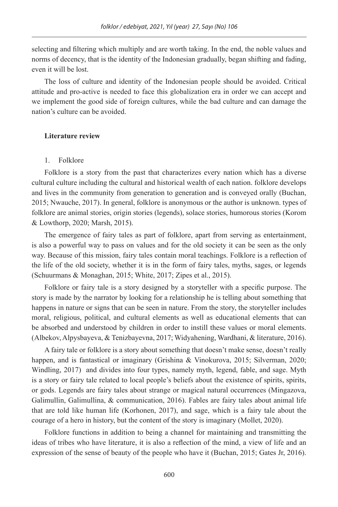selecting and filtering which multiply and are worth taking. In the end, the noble values and norms of decency, that is the identity of the Indonesian gradually, began shifting and fading, even it will be lost.

The loss of culture and identity of the Indonesian people should be avoided. Critical attitude and pro-active is needed to face this globalization era in order we can accept and we implement the good side of foreign cultures, while the bad culture and can damage the nation's culture can be avoided.

## **Literature review**

#### 1. Folklore

Folklore is a story from the past that characterizes every nation which has a diverse cultural culture including the cultural and historical wealth of each nation. folklore develops and lives in the community from generation to generation and is conveyed orally (Buchan, 2015; Nwauche, 2017). In general, folklore is anonymous or the author is unknown. types of folklore are animal stories, origin stories (legends), solace stories, humorous stories (Korom & Lowthorp, 2020; Marsh, 2015).

The emergence of fairy tales as part of folklore, apart from serving as entertainment, is also a powerful way to pass on values and for the old society it can be seen as the only way. Because of this mission, fairy tales contain moral teachings. Folklore is a reflection of the life of the old society, whether it is in the form of fairy tales, myths, sages, or legends (Schuurmans & Monaghan, 2015; White, 2017; Zipes et al., 2015).

Folklore or fairy tale is a story designed by a storyteller with a specific purpose. The story is made by the narrator by looking for a relationship he is telling about something that happens in nature or signs that can be seen in nature. From the story, the storyteller includes moral, religious, political, and cultural elements as well as educational elements that can be absorbed and understood by children in order to instill these values or moral elements. (Albekov, Alpysbayeva, & Tenizbayevna, 2017; Widyahening, Wardhani, & literature, 2016).

A fairy tale or folklore is a story about something that doesn't make sense, doesn't really happen, and is fantastical or imaginary (Grishina & Vinokurova, 2015; Silverman, 2020; Windling, 2017) and divides into four types, namely myth, legend, fable, and sage. Myth is a story or fairy tale related to local people's beliefs about the existence of spirits, spirits, or gods. Legends are fairy tales about strange or magical natural occurrences (Mingazova, Galimullin, Galimullina, & communication, 2016). Fables are fairy tales about animal life that are told like human life (Korhonen, 2017), and sage, which is a fairy tale about the courage of a hero in history, but the content of the story is imaginary (Mollet, 2020).

Folklore functions in addition to being a channel for maintaining and transmitting the ideas of tribes who have literature, it is also a reflection of the mind, a view of life and an expression of the sense of beauty of the people who have it (Buchan, 2015; Gates Jr, 2016).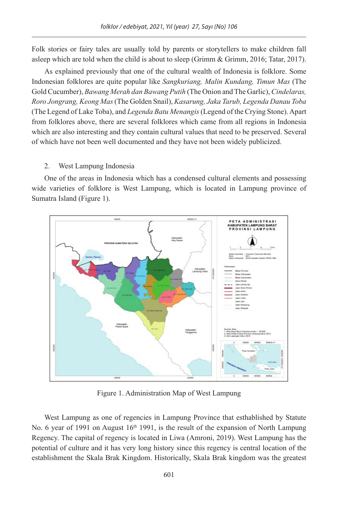Folk stories or fairy tales are usually told by parents or storytellers to make children fall asleep which are told when the child is about to sleep (Grimm & Grimm, 2016; Tatar, 2017).

As explained previously that one of the cultural wealth of Indonesia is folklore. Some Indonesian folklores are quite popular like *Sangkuriang, Malin Kundang, Timun Mas* (The Gold Cucumber), *Bawang Merah dan Bawang Putih* (The Onion and The Garlic), *Cindelaras, Roro Jongrang, Keong Mas* (The Golden Snail), *Kasarung, Jaka Tarub, Legenda Danau Toba* (The Legend of Lake Toba), and *Legenda Batu Menangis* (Legend of the Crying Stone). Apart from folklores above, there are several folklores which came from all regions in Indonesia which are also interesting and they contain cultural values that need to be preserved. Several of which have not been well documented and they have not been widely publicized.

## 2. West Lampung Indonesia

One of the areas in Indonesia which has a condensed cultural elements and possessing wide varieties of folklore is West Lampung, which is located in Lampung province of Sumatra Island (Figure 1).



Figure 1. Administration Map of West Lampung

West Lampung as one of regencies in Lampung Province that esthablished by Statute No. 6 year of 1991 on August  $16<sup>th</sup>$  1991, is the result of the expansion of North Lampung Regency. The capital of regency is located in Liwa (Amroni, 2019). West Lampung has the potential of culture and it has very long history since this regency is central location of the establishment the Skala Brak Kingdom. Historically, Skala Brak kingdom was the greatest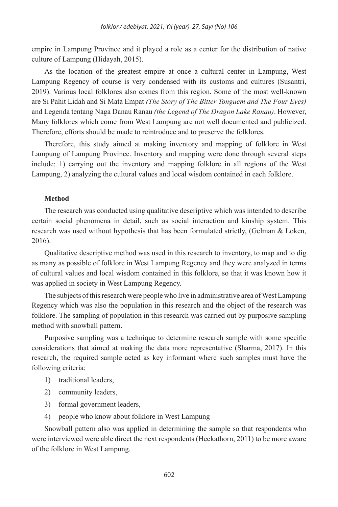empire in Lampung Province and it played a role as a center for the distribution of native culture of Lampung (Hidayah, 2015).

As the location of the greatest empire at once a cultural center in Lampung, West Lampung Regency of course is very condensed with its customs and cultures (Susantri, 2019). Various local folklores also comes from this region. Some of the most well-known are Si Pahit Lidah and Si Mata Empat *(The Story of The Bitter Tonguem and The Four Eyes)* and Legenda tentang Naga Danau Ranau *(the Legend of The Dragon Lake Ranau)*. However, Many folklores which come from West Lampung are not well documented and publicized. Therefore, efforts should be made to reintroduce and to preserve the folklores.

Therefore, this study aimed at making inventory and mapping of folklore in West Lampung of Lampung Province. Inventory and mapping were done through several steps include: 1) carrying out the inventory and mapping folklore in all regions of the West Lampung, 2) analyzing the cultural values and local wisdom contained in each folklore.

## **Method**

The research was conducted using qualitative descriptive which was intended to describe certain social phenomena in detail, such as social interaction and kinship system. This research was used without hypothesis that has been formulated strictly, (Gelman & Loken, 2016).

Qualitative descriptive method was used in this research to inventory, to map and to dig as many as possible of folklore in West Lampung Regency and they were analyzed in terms of cultural values and local wisdom contained in this folklore, so that it was known how it was applied in society in West Lampung Regency.

The subjects of this research were people who live in administrative area of West Lampung Regency which was also the population in this research and the object of the research was folklore. The sampling of population in this research was carried out by purposive sampling method with snowball pattern.

Purposive sampling was a technique to determine research sample with some specific considerations that aimed at making the data more representative (Sharma, 2017). In this research, the required sample acted as key informant where such samples must have the following criteria:

- 1) traditional leaders,
- 2) community leaders,
- 3) formal government leaders,
- 4) people who know about folklore in West Lampung

Snowball pattern also was applied in determining the sample so that respondents who were interviewed were able direct the next respondents (Heckathorn, 2011) to be more aware of the folklore in West Lampung.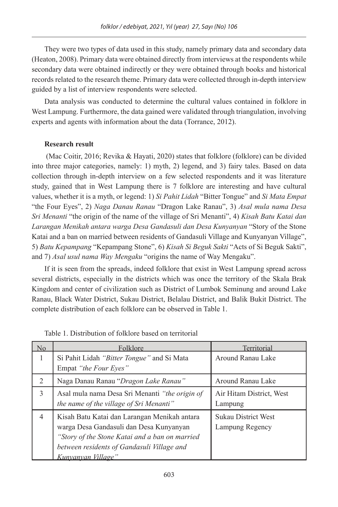They were two types of data used in this study, namely primary data and secondary data (Heaton, 2008). Primary data were obtained directly from interviews at the respondents while secondary data were obtained indirectly or they were obtained through books and historical records related to the research theme. Primary data were collected through in-depth interview guided by a list of interview respondents were selected.

Data analysis was conducted to determine the cultural values contained in folklore in West Lampung. Furthermore, the data gained were validated through triangulation, involving experts and agents with information about the data (Torrance, 2012).

## **Research result**

 (Mac Coitir, 2016; Revika & Hayati, 2020) states that folklore (folklore) can be divided into three major categories, namely: 1) myth, 2) legend, and 3) fairy tales. Based on data collection through in-depth interview on a few selected respondents and it was literature study, gained that in West Lampung there is 7 folklore are interesting and have cultural values, whether it is a myth, or legend: 1) *Si Pahit Lidah* "Bitter Tongue" and *Si Mata Empat* "the Four Eyes", 2) *Naga Danau Ranau* "Dragon Lake Ranau", 3) *Asal mula nama Desa Sri Menanti* "the origin of the name of the village of Sri Menanti", 4) *Kisah Batu Katai dan Larangan Menikah antara warga Desa Gandasuli dan Desa Kunyanyan* "Story of the Stone Katai and a ban on married between residents of Gandasuli Village and Kunyanyan Village", 5) *Batu Kepampang* "Kepampang Stone", 6) *Kisah Si Beguk Sakti* "Acts of Si Beguk Sakti", and 7) *Asal usul nama Way Mengaku* "origins the name of Way Mengaku".

If it is seen from the spreads, indeed folklore that exist in West Lampung spread across several districts, especially in the districts which was once the territory of the Skala Brak Kingdom and center of civilization such as District of Lumbok Seminung and around Lake Ranau, Black Water District, Sukau District, Belalau District, and Balik Bukit District. The complete distribution of each folklore can be observed in Table 1.

| No | Folklore                                                                                                                                                                                                              | Territorial                                   |
|----|-----------------------------------------------------------------------------------------------------------------------------------------------------------------------------------------------------------------------|-----------------------------------------------|
| 1  | Si Pahit Lidah "Bitter Tongue" and Si Mata<br>Empat "the Four Eyes"                                                                                                                                                   | Around Ranau Lake                             |
| 2  | Naga Danau Ranau "Dragon Lake Ranau"                                                                                                                                                                                  | Around Ranau Lake                             |
| 3  | Asal mula nama Desa Sri Menanti "the origin of<br>the name of the village of Sri Menanti"                                                                                                                             | Air Hitam District, West<br>Lampung           |
| 4  | Kisah Batu Katai dan Larangan Menikah antara<br>warga Desa Gandasuli dan Desa Kunyanyan<br>"Story of the Stone Katai and a ban on married<br>between residents of Gandasuli Village and<br><u>Kunvanvan Village''</u> | <b>Sukau District West</b><br>Lampung Regency |

Table 1. Distribution of folklore based on territorial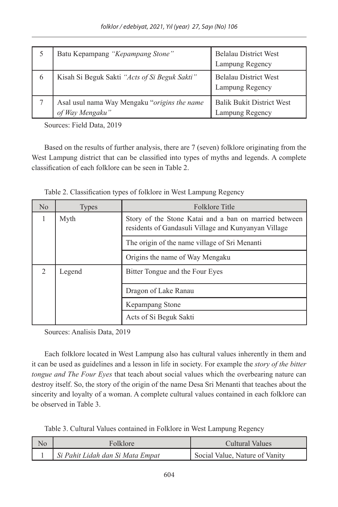|   | Batu Kepampang "Kepampang Stone"                                 | <b>Belalau District West</b><br>Lampung Regency     |
|---|------------------------------------------------------------------|-----------------------------------------------------|
| 6 | Kisah Si Beguk Sakti "Acts of Si Beguk Sakti"                    | <b>Belalau District West</b><br>Lampung Regency     |
|   | Asal usul nama Way Mengaku "origins the name"<br>of Way Mengaku" | <b>Balik Bukit District West</b><br>Lampung Regency |

Sources: Field Data, 2019

Based on the results of further analysis, there are 7 (seven) folklore originating from the West Lampung district that can be classified into types of myths and legends. A complete classification of each folklore can be seen in Table 2.

| No             | <b>Types</b> | <b>Folklore Title</b>                                                                                         |  |
|----------------|--------------|---------------------------------------------------------------------------------------------------------------|--|
| Myth<br>1      |              | Story of the Stone Katai and a ban on married between<br>residents of Gandasuli Village and Kunyanyan Village |  |
|                |              | The origin of the name village of Sri Menanti                                                                 |  |
|                |              | Origins the name of Way Mengaku                                                                               |  |
| $\mathfrak{D}$ | Legend       | Bitter Tongue and the Four Eyes                                                                               |  |
|                |              | Dragon of Lake Ranau                                                                                          |  |
|                |              | Kepampang Stone                                                                                               |  |
|                |              | Acts of Si Beguk Sakti                                                                                        |  |

Table 2. Classification types of folklore in West Lampung Regency

Sources: Analisis Data, 2019

Each folklore located in West Lampung also has cultural values inherently in them and it can be used as guidelines and a lesson in life in society. For example the *story of the bitter tongue and The Four Eyes* that teach about social values which the overbearing nature can destroy itself. So, the story of the origin of the name Desa Sri Menanti that teaches about the sincerity and loyalty of a woman. A complete cultural values contained in each folklore can be observed in Table 3.

Table 3. Cultural Values contained in Folklore in West Lampung Regency

| No | Folklore                         | Cultural Values                |
|----|----------------------------------|--------------------------------|
|    | Si Pahit Lidah dan Si Mata Empat | Social Value, Nature of Vanity |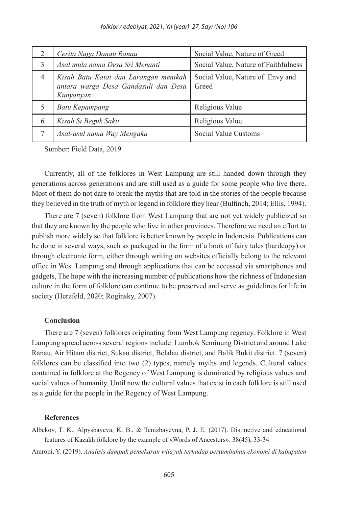| 2              | Cerita Naga Danau Ranau                                                                    | Social Value, Nature of Greed             |
|----------------|--------------------------------------------------------------------------------------------|-------------------------------------------|
| 3              | Asal mula nama Desa Sri Menanti                                                            | Social Value, Nature of Faithfulness      |
| $\overline{4}$ | Kisah Batu Katai dan Larangan menikah<br>antara warga Desa Gandasuli dan Desa<br>Kunyanyan | Social Value, Nature of Envy and<br>Greed |
| 5              | Batu Kepampang                                                                             | Religious Value                           |
| 6              | Kisah Si Beguk Sakti                                                                       | Religious Value                           |
| 7              | Asal-usul nama Way Mengaku                                                                 | Social Value Customs                      |

Sumber: Field Data, 2019

Currently, all of the folklores in West Lampung are still handed down through they generations across generations and are still used as a guide for some people who live there. Most of them do not dare to break the myths that are told in the stories of the people because they believed in the truth of myth or legend in folklore they hear (Bulfinch, 2014; Ellis, 1994).

There are 7 (seven) folklore from West Lampung that are not yet widely publicized so that they are known by the people who live in other provinces. Therefore we need an effort to publish more widely so that folklore is better known by people in Indonesia. Publications can be done in several ways, such as packaged in the form of a book of fairy tales (hardcopy) or through electronic form, either through writing on websites officially belong to the relevant office in West Lampung and through applications that can be accessed via smartphones and gadgets, The hope with the increasing number of publications how the richness of Indonesian culture in the form of folklore can continue to be preserved and serve as guidelines for life in society (Herzfeld, 2020; Roginsky, 2007).

## **Conclusion**

There are 7 (seven) folklores originating from West Lampung regency. Folklore in West Lampung spread across several regions include: Lumbok Seminung District and around Lake Ranau, Air Hitam district, Sukau district, Belalau district, and Balik Bukit district. 7 (seven) folklores can be classified into two (2) types, namely myths and legends. Cultural values contained in folklore at the Regency of West Lampung is dominated by religious values and social values of humanity. Until now the cultural values that exist in each folklore is still used as a guide for the people in the Regency of West Lampung.

#### **References**

Albekov, T. K., Alpysbayeva, K. B., & Tenizbayevna, P. J. E. (2017). Distinctive and educational features of Kazakh folklore by the example of «Words of Ancestors». 38(45), 33-34.

Amroni, Y. (2019). *Analisis dampak pemekaran wilayah terhadap pertumbuhan ekonomi di kabupaten*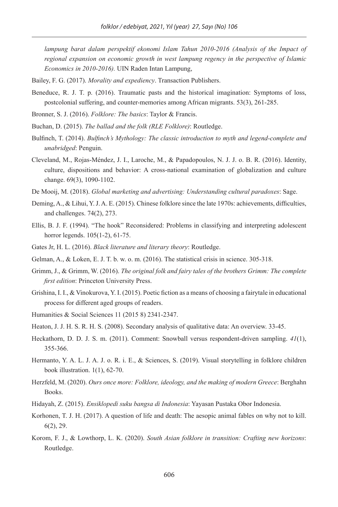*lampung barat dalam perspektif ekonomi Islam Tahun 2010-2016 (Analysis of the Impact of regional expansion on economic growth in west lampung regency in the perspective of Islamic Economics in 2010-2016).* UIN Raden Intan Lampung,

- Bailey, F. G. (2017). *Morality and expediency*. Transaction Publishers.
- Beneduce, R. J. T. p. (2016). Traumatic pasts and the historical imagination: Symptoms of loss, postcolonial suffering, and counter-memories among African migrants. 53(3), 261-285.
- Bronner, S. J. (2016). *Folklore: The basics*: Taylor & Francis.
- Buchan, D. (2015). *The ballad and the folk (RLE Folklore)*: Routledge.
- Bulfinch, T. (2014). *Bulfinch's Mythology: The classic introduction to myth and legend-complete and unabridged*: Penguin.
- Cleveland, M., Rojas-Méndez, J. I., Laroche, M., & Papadopoulos, N. J. J. o. B. R. (2016). Identity, culture, dispositions and behavior: A cross-national examination of globalization and culture change. 69(3), 1090-1102.
- De Mooij, M. (2018). *Global marketing and advertising: Understanding cultural paradoxes*: Sage.
- Deming, A., & Lihui, Y. J. A. E. (2015). Chinese folklore since the late 1970s: achievements, difficulties, and challenges. 74(2), 273.
- Ellis, B. J. F. (1994). "The hook" Reconsidered: Problems in classifying and interpreting adolescent horror legends. 105(1-2), 61-75.
- Gates Jr, H. L. (2016). *Black literature and literary theory*: Routledge.
- Gelman, A., & Loken, E. J. T. b. w. o. m. (2016). The statistical crisis in science. 305-318.
- Grimm, J., & Grimm, W. (2016). *The original folk and fairy tales of the brothers Grimm: The complete first edition*: Princeton University Press.
- Grishina, I. I., & Vinokurova, Y. I. (2015). Poetic fiction as a means of choosing a fairytale in educational process for different aged groups of readers.
- Humanities & Social Sciences 11 (2015 8) 2341-2347.
- Heaton, J. J. H. S. R. H. S. (2008). Secondary analysis of qualitative data: An overview. 33-45.
- Heckathorn, D. D. J. S. m. (2011). Comment: Snowball versus respondent-driven sampling. *41*(1), 355-366.
- Hermanto, Y. A. L. J. A. J. o. R. i. E., & Sciences, S. (2019). Visual storytelling in folklore children book illustration. 1(1), 62-70.
- Herzfeld, M. (2020). *Ours once more: Folklore, ideology, and the making of modern Greece*: Berghahn Books.
- Hidayah, Z. (2015). *Ensiklopedi suku bangsa di Indonesia*: Yayasan Pustaka Obor Indonesia.
- Korhonen, T. J. H. (2017). A question of life and death: The aesopic animal fables on why not to kill. 6(2), 29.
- Korom, F. J., & Lowthorp, L. K. (2020). *South Asian folklore in transition: Crafting new horizons*: Routledge.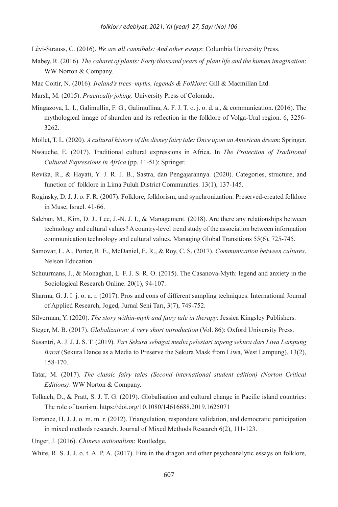Lévi-Strauss, C. (2016). *We are all cannibals: And other essays*: Columbia University Press.

- Mabey, R. (2016). *The cabaret of plants: Forty thousand years of plant life and the human imagination*: WW Norton & Company.
- Mac Coitir, N. (2016). *Ireland's trees–myths, legends & Folklore*: Gill & Macmillan Ltd.
- Marsh, M. (2015). *Practically joking*: University Press of Colorado.
- Mingazova, L. I., Galimullin, F. G., Galimullina, A. F. J. T. o. j. o. d. a., & communication. (2016). The mythological image of shuralen and its reflection in the folklore of Volga-Ural region. 6, 3256- 3262.
- Mollet, T. L. (2020). *A cultural history of the disney fairy tale: Once upon an American dream*: Springer.
- Nwauche, E. (2017). Traditional cultural expressions in Africa. In *The Protection of Traditional Cultural Expressions in Africa* (pp. 11-51): Springer.
- Revika, R., & Hayati, Y. J. R. J. B., Sastra, dan Pengajarannya. (2020). Categories, structure, and function of folklore in Lima Puluh District Communities. 13(1), 137-145.
- Roginsky, D. J. J. o. F. R. (2007). Folklore, folklorism, and synchronization: Preserved-created folklore in Muse, Israel. 41-66.
- Salehan, M., Kim, D. J., Lee, J.-N. J. I., & Management. (2018). Are there any relationships between technology and cultural values? A country-level trend study of the association between information communication technology and cultural values. Managing Global Transitions 55(6), 725-745.
- Samovar, L. A., Porter, R. E., McDaniel, E. R., & Roy, C. S. (2017). *Communication between cultures*. Nelson Education.
- Schuurmans, J., & Monaghan, L. F. J. S. R. O. (2015). The Casanova-Myth: legend and anxiety in the Sociological Research Online. 20(1), 94-107.
- Sharma, G. J. I. j. o. a. r. (2017). Pros and cons of different sampling techniques. International Journal of Applied Research, Joged, Jurnal Seni Tarı, 3(7), 749-752.
- Silverman, Y. (2020). *The story within-myth and fairy tale in therapy*: Jessica Kingsley Publishers.
- Steger, M. B. (2017). *Globalization: A very short introduction* (Vol. 86): Oxford University Press.
- Susantri, A. J. J. J. S. T. (2019). *Tari Sekura sebagai media pelestari topeng sekura dari Liwa Lampung Barat* (Sekura Dance as a Media to Preserve the Sekura Mask from Liwa, West Lampung). 13(2), 158-170.
- Tatar, M. (2017). *The classic fairy tales (Second international student edition) (Norton Critical Editions)*: WW Norton & Company.
- Tolkach, D., & Pratt, S. J. T. G. (2019). Globalisation and cultural change in Pacific island countries: The role of tourism. https://doi.org/10.1080/14616688.2019.1625071
- Torrance, H. J. J. o. m. m. r. (2012). Triangulation, respondent validation, and democratic participation in mixed methods research. Journal of Mixed Methods Research 6(2), 111-123.

Unger, J. (2016). *Chinese nationalism*: Routledge.

White, R. S. J. J. o. t. A. P. A. (2017). Fire in the dragon and other psychoanalytic essays on folklore,